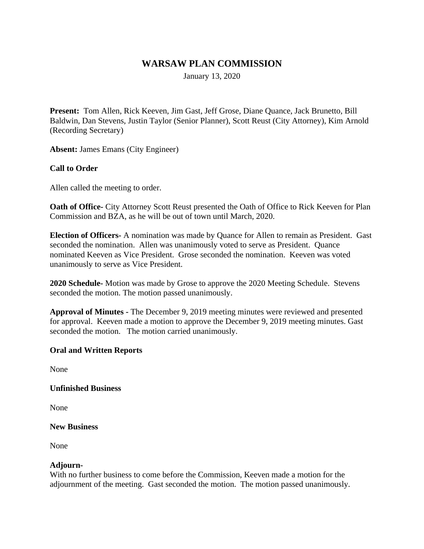## **WARSAW PLAN COMMISSION**

January 13, 2020

**Present:** Tom Allen, Rick Keeven, Jim Gast, Jeff Grose, Diane Quance, Jack Brunetto, Bill Baldwin, Dan Stevens, Justin Taylor (Senior Planner), Scott Reust (City Attorney), Kim Arnold (Recording Secretary)

**Absent:** James Emans (City Engineer)

## **Call to Order**

Allen called the meeting to order.

**Oath of Office-** City Attorney Scott Reust presented the Oath of Office to Rick Keeven for Plan Commission and BZA, as he will be out of town until March, 2020.

**Election of Officers-** A nomination was made by Quance for Allen to remain as President. Gast seconded the nomination. Allen was unanimously voted to serve as President. Quance nominated Keeven as Vice President. Grose seconded the nomination. Keeven was voted unanimously to serve as Vice President.

**2020 Schedule-** Motion was made by Grose to approve the 2020 Meeting Schedule. Stevens seconded the motion. The motion passed unanimously.

**Approval of Minutes -** The December 9, 2019 meeting minutes were reviewed and presented for approval. Keeven made a motion to approve the December 9, 2019 meeting minutes. Gast seconded the motion. The motion carried unanimously.

#### **Oral and Written Reports**

None

#### **Unfinished Business**

None

#### **New Business**

None

## **Adjourn-**

With no further business to come before the Commission, Keeven made a motion for the adjournment of the meeting. Gast seconded the motion. The motion passed unanimously.